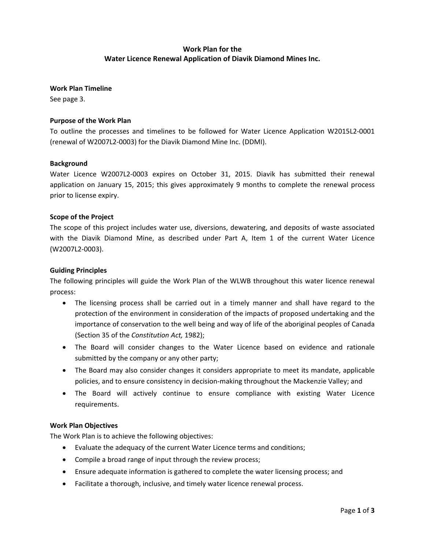## **Work Plan for the Water Licence Renewal Application of Diavik Diamond Mines Inc.**

**Work Plan Timeline**

See page 3.

### **Purpose of the Work Plan**

To outline the processes and timelines to be followed for Water Licence Application W2015L2‐0001 (renewal of W2007L2‐0003) for the Diavik Diamond Mine Inc. (DDMI).

#### **Background**

Water Licence W2007L2‐0003 expires on October 31, 2015. Diavik has submitted their renewal application on January 15, 2015; this gives approximately 9 months to complete the renewal process prior to license expiry.

#### **Scope of the Project**

The scope of this project includes water use, diversions, dewatering, and deposits of waste associated with the Diavik Diamond Mine, as described under Part A, Item 1 of the current Water Licence (W2007L2‐0003).

#### **Guiding Principles**

The following principles will guide the Work Plan of the WLWB throughout this water licence renewal process:

- The licensing process shall be carried out in a timely manner and shall have regard to the protection of the environment in consideration of the impacts of proposed undertaking and the importance of conservation to the well being and way of life of the aboriginal peoples of Canada (Section 35 of the *Constitution Act,* 1982);
- The Board will consider changes to the Water Licence based on evidence and rationale submitted by the company or any other party;
- The Board may also consider changes it considers appropriate to meet its mandate, applicable policies, and to ensure consistency in decision‐making throughout the Mackenzie Valley; and
- The Board will actively continue to ensure compliance with existing Water Licence requirements.

#### **Work Plan Objectives**

The Work Plan is to achieve the following objectives:

- Evaluate the adequacy of the current Water Licence terms and conditions;
- Compile a broad range of input through the review process;
- Ensure adequate information is gathered to complete the water licensing process; and
- Facilitate a thorough, inclusive, and timely water licence renewal process.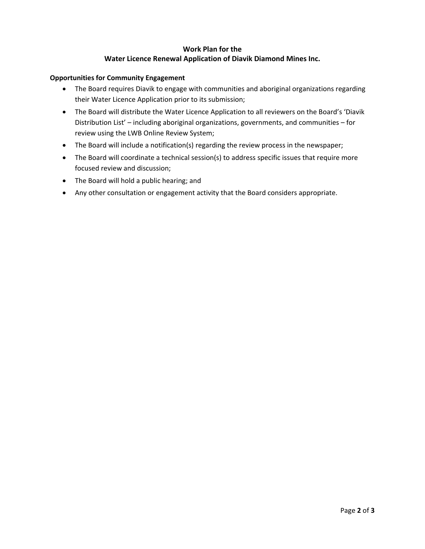## **Work Plan for the Water Licence Renewal Application of Diavik Diamond Mines Inc.**

### **Opportunities for Community Engagement**

- The Board requires Diavik to engage with communities and aboriginal organizations regarding their Water Licence Application prior to its submission;
- The Board will distribute the Water Licence Application to all reviewers on the Board's 'Diavik Distribution List' – including aboriginal organizations, governments, and communities – for review using the LWB Online Review System;
- The Board will include a notification(s) regarding the review process in the newspaper;
- The Board will coordinate a technical session(s) to address specific issues that require more focused review and discussion;
- The Board will hold a public hearing; and
- Any other consultation or engagement activity that the Board considers appropriate.